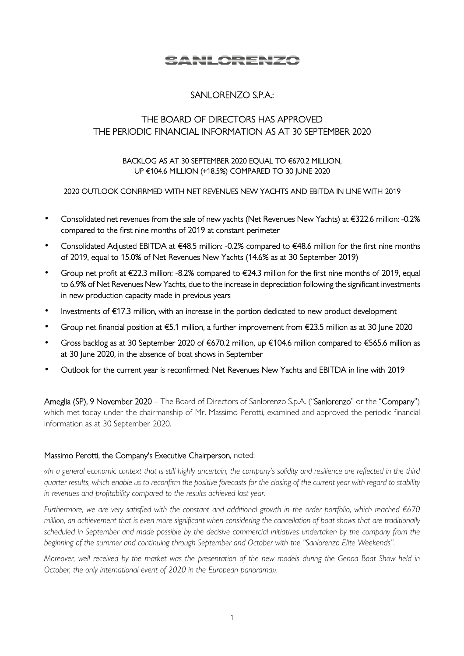# SANLORENZO

## SANLORENZO S.P.A.:

## THE BOARD OF DIRECTORS HAS APPROVED THE PERIODIC FINANCIAL INFORMATION AS AT 30 SEPTEMBER 2020

#### BACKLOG AS AT 30 SEPTEMBER 2020 EQUAL TO €670.2 MILLION, UP €104.6 MILLION (+18.5%) COMPARED TO 30 JUNE 2020

#### 2020 OUTLOOK CONFIRMED WITH NET REVENUES NEW YACHTS AND EBITDA IN LINE WITH 2019

- Consolidated net revenues from the sale of new yachts (Net Revenues New Yachts) at €322.6 million: -0.2% compared to the first nine months of 2019 at constant perimeter
- Consolidated Adjusted EBITDA at €48.5 million: -0.2% compared to €48.6 million for the first nine months of 2019, equal to 15.0% of Net Revenues New Yachts (14.6% as at 30 September 2019)
- Group net profit at  $\epsilon$ 22.3 million: -8.2% compared to  $\epsilon$ 24.3 million for the first nine months of 2019, equal to 6.9% of Net Revenues New Yachts, due to the increase in depreciation following the significant investments in new production capacity made in previous years
- Investments of €17.3 million, with an increase in the portion dedicated to new product development
- Group net financial position at €5.1 million, a further improvement from €23.5 million as at 30 June 2020
- Gross backlog as at 30 September 2020 of €670.2 million, up €104.6 million compared to €565.6 million as at 30 June 2020, in the absence of boat shows in September
- Outlook for the current year is reconfirmed: Net Revenues New Yachts and EBITDA in line with 2019

Ameglia (SP), 9 November 2020 – The Board of Directors of Sanlorenzo S.p.A. ("Sanlorenzo" or the "Company") which met today under the chairmanship of Mr. Massimo Perotti, examined and approved the periodic financial information as at 30 September 2020.

#### Massimo Perotti, the Company's Executive Chairperson, noted:

*«In a general economic context that is still highly uncertain, the company's solidity and resilience are reflected in the third quarter results, which enable us to reconfirm the positive forecasts for the closing of the current year with regard to stability in revenues and profitability compared to the results achieved last year.* 

*Furthermore, we are very satisfied with the constant and additional growth in the order portfolio, which reached €670 million, an achievement that is even more significant when considering the cancellation of boat shows that are traditionally scheduled in September and made possible by the decisive commercial initiatives undertaken by the company from the beginning of the summer and continuing through September and October with the "Sanlorenzo Elite Weekends".* 

*Moreover, well received by the market was the presentation of the new models during the Genoa Boat Show held in October, the only international event of 2020 in the European panorama».*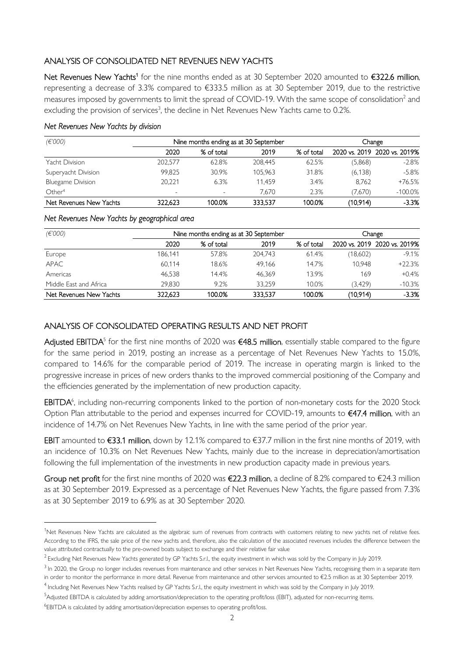### ANALYSIS OF CONSOLIDATED NET REVENUES NEW YACHTS

Net Revenues New Yachts<sup>1</sup> for the nine months ended as at 30 September 2020 amounted to €322.6 million, representing a decrease of 3.3% compared to €333.5 million as at 30 September 2019, due to the restrictive measures imposed by governments to limit the spread of COVID-19. With the same scope of consolidation $^2$  and excluding the provision of services<sup>3</sup>, the decline in Net Revenues New Yachts came to 0.2%.

#### *Net Revenues New Yachts by division*

| (E'000)                  | Nine months ending as at 30 September |                          |         | Change     |          |                              |
|--------------------------|---------------------------------------|--------------------------|---------|------------|----------|------------------------------|
|                          | 2020                                  | % of total               | 2019    | % of total |          | 2020 vs. 2019 2020 vs. 2019% |
| Yacht Division           | 202.577                               | 62.8%                    | 208.445 | 62.5%      | (5,868)  | $-2.8%$                      |
| Superyacht Division      | 99.825                                | 30.9%                    | 105.963 | 31.8%      | (6, 138) | $-5.8\%$                     |
| <b>Bluegame Division</b> | 20.221                                | 6.3%                     | 11.459  | 3.4%       | 8.762    | $+76.5%$                     |
| Other <sup>4</sup>       | $\overline{\phantom{0}}$              | $\overline{\phantom{0}}$ | 7.670   | 2.3%       | (7,670)  | $-100.0\%$                   |
| Net Revenues New Yachts  | 322.623                               | 100.0%                   | 333.537 | 100.0%     | (10,914) | $-3.3%$                      |

#### *Net Revenues New Yachts by geographical area*

| (E'000)                 | Nine months ending as at 30 September |            |         | Change     |          |                              |
|-------------------------|---------------------------------------|------------|---------|------------|----------|------------------------------|
|                         | 2020                                  | % of total | 2019    | % of total |          | 2020 vs. 2019 2020 vs. 2019% |
| Europe                  | 186.141                               | 57.8%      | 204.743 | 61.4%      | (18,602) | $-9.1%$                      |
| <b>APAC</b>             | 60.114                                | 18.6%      | 49.166  | 14.7%      | 10.948   | $+22.3%$                     |
| Americas                | 46.538                                | 14.4%      | 46.369  | 13.9%      | 169      | $+0.4%$                      |
| Middle East and Africa  | 29.830                                | 9.2%       | 33.259  | 10.0%      | (3.429)  | $-10.3%$                     |
| Net Revenues New Yachts | 322.623                               | 100.0%     | 333.537 | 100.0%     | (10,914) | $-3.3%$                      |

### ANALYSIS OF CONSOLIDATED OPERATING RESULTS AND NET PROFIT

**Adjusted EBITDA**<sup>5</sup> for the first nine months of 2020 was **€48.5 million**, essentially stable compared to the figure for the same period in 2019, posting an increase as a percentage of Net Revenues New Yachts to 15.0%, compared to 14.6% for the comparable period of 2019. The increase in operating margin is linked to the progressive increase in prices of new orders thanks to the improved commercial positioning of the Company and the efficiencies generated by the implementation of new production capacity.

EBITDA<sup>6</sup>, including non-recurring components linked to the portion of non-monetary costs for the 2020 Stock Option Plan attributable to the period and expenses incurred for COVID-19, amounts to €47.4 million, with an incidence of 14.7% on Net Revenues New Yachts, in line with the same period of the prior year.

EBIT amounted to €33.1 million, down by 12.1% compared to €37.7 million in the first nine months of 2019, with an incidence of 10.3% on Net Revenues New Yachts, mainly due to the increase in depreciation/amortisation following the full implementation of the investments in new production capacity made in previous years.

Group net profit for the first nine months of 2020 was  $\epsilon$ 22.3 million, a decline of 8.2% compared to  $\epsilon$ 24.3 million as at 30 September 2019. Expressed as a percentage of Net Revenues New Yachts, the figure passed from 7.3% as at 30 September 2019 to 6.9% as at 30 September 2020.

<sup>&</sup>lt;sup>1</sup>Net Revenues New Yachts are calculated as the algebraic sum of revenues from contracts with customers relating to new yachts net of relative fees. According to the IFRS, the sale price of the new yachts and, therefore, also the calculation of the associated revenues includes the difference between the value attributed contractually to the pre-owned boats subject to exchange and their relative fair value

<sup>&</sup>lt;sup>2</sup> Excluding Net Revenues New Yachts generated by GP Yachts S.r.l., the equity investment in which was sold by the Company in July 2019.

 $3$  In 2020, the Group no longer includes revenues from maintenance and other services in Net Revenues New Yachts, recognising them in a separate item in order to monitor the performance in more detail. Revenue from maintenance and other services amounted to €2.5 million as at 30 September 2019.

<sup>4</sup> Including Net Revenues New Yachts realised by GP Yachts S.r.l., the equity investment in which was sold by the Company in July 2019.

<sup>5</sup>Adjusted EBITDA is calculated by adding amortisation/depreciation to the operating profit/loss (EBIT), adjusted for non-recurring items.

 $^6$ EBITDA is calculated by adding amortisation/depreciation expenses to operating profit/loss.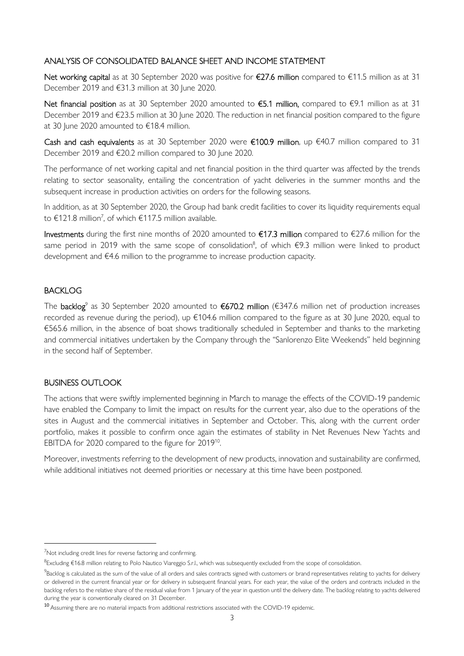### ANALYSIS OF CONSOLIDATED BALANCE SHEET AND INCOME STATEMENT

Net working capital as at 30 September 2020 was positive for €27.6 million compared to €11.5 million as at 31 December 2019 and €31.3 million at 30 June 2020.

Net financial position as at 30 September 2020 amounted to €5.1 million, compared to €9.1 million as at 31 December 2019 and €23.5 million at 30 June 2020. The reduction in net financial position compared to the figure at 30 June 2020 amounted to €18.4 million.

Cash and cash equivalents as at 30 September 2020 were €100.9 million, up €40.7 million compared to 31 December 2019 and €20.2 million compared to 30 June 2020.

The performance of net working capital and net financial position in the third quarter was affected by the trends relating to sector seasonality, entailing the concentration of yacht deliveries in the summer months and the subsequent increase in production activities on orders for the following seasons.

In addition, as at 30 September 2020, the Group had bank credit facilities to cover its liquidity requirements equal to  $\epsilon$ 121.8 million<sup>7</sup>, of which  $\epsilon$ 117.5 million available.

Investments during the first nine months of 2020 amounted to €17.3 million compared to €27.6 million for the same period in 2019 with the same scope of consolidation<sup>8</sup>, of which  $\epsilon$ 9.3 million were linked to product development and €4.6 million to the programme to increase production capacity.

## BACKLOG

The **backlog**<sup>9</sup> as 30 September 2020 amounted to **€670.2 million** (€347.6 million net of production increases recorded as revenue during the period), up €104.6 million compared to the figure as at 30 June 2020, equal to €565.6 million, in the absence of boat shows traditionally scheduled in September and thanks to the marketing and commercial initiatives undertaken by the Company through the "Sanlorenzo Elite Weekends" held beginning in the second half of September.

## BUSINESS OUTLOOK

The actions that were swiftly implemented beginning in March to manage the effects of the COVID-19 pandemic have enabled the Company to limit the impact on results for the current year, also due to the operations of the sites in August and the commercial initiatives in September and October. This, along with the current order portfolio, makes it possible to confirm once again the estimates of stability in Net Revenues New Yachts and EBITDA for 2020 compared to the figure for  $2019^{10}$ .

Moreover, investments referring to the development of new products, innovation and sustainability are confirmed, while additional initiatives not deemed priorities or necessary at this time have been postponed.

<sup>7</sup>Not including credit lines for reverse factoring and confirming.

<sup>&</sup>lt;sup>8</sup>Excluding €16.8 million relating to Polo Nautico Viareggio S.r.l., which was subsequently excluded from the scope of consolidation.

<sup>&</sup>lt;sup>9</sup>Backlog is calculated as the sum of the value of all orders and sales contracts signed with customers or brand representatives relating to yachts for delivery or delivered in the current financial year or for delivery in subsequent financial years. For each year, the value of the orders and contracts included in the backlog refers to the relative share of the residual value from 1 January of the year in question until the delivery date. The backlog relating to yachts delivered during the year is conventionally cleared on 31 December.

<sup>10</sup>Assuming there are no material impacts from additional restrictions associated with the COVID-19 epidemic.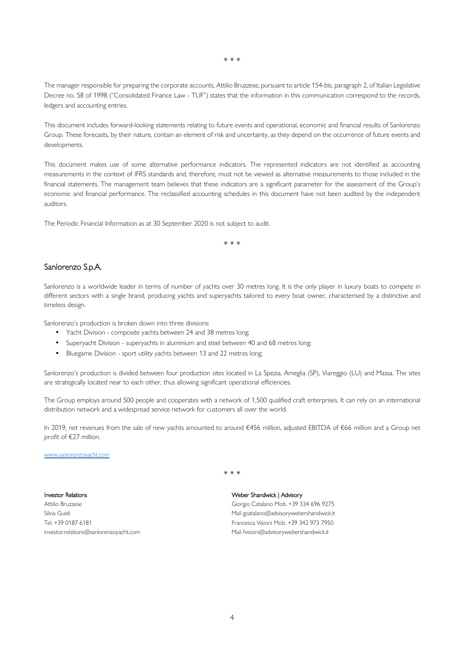\* \* \*

The manager responsible for preparing the corporate accounts, Attilio Bruzzese, pursuant to article 154-bis, paragraph 2, of Italian Legislative Decree no. 58 of 1998 ("Consolidated Finance Law - TUF") states that the information in this communication correspond to the records, ledgers and accounting entries.

This document includes forward-looking statements relating to future events and operational, economic and financial results of Sanlorenzo Group. These forecasts, by their nature, contain an element of risk and uncertainty, as they depend on the occurrence of future events and developments.

This document makes use of some alternative performance indicators. The represented indicators are not identified as accounting measurements in the context of IFRS standards and, therefore, must not be viewed as alternative measurements to those included in the financial statements. The management team believes that these indicators are a significant parameter for the assessment of the Group's economic and financial performance. The reclassified accounting schedules in this document have not been audited by the independent auditors.

The Periodic Financial Information as at 30 September 2020 is not subject to audit.

\* \* \*

#### Sanlorenzo S.p.A.

Sanlorenzo is a worldwide leader in terms of number of yachts over 30 metres long. It is the only player in luxury boats to compete in different sectors with a single brand, producing yachts and superyachts tailored to every boat owner, characterised by a distinctive and timeless design.

Sanlorenzo's production is broken down into three divisions:

- Yacht Division composite yachts between 24 and 38 metres long;
- Superyacht Division superyachts in aluminium and steel between 40 and 68 metres long;
- Bluegame Division sport utility yachts between 13 and 22 metres long;

Sanlorenzo's production is divided between four production sites located in La Spezia, Ameglia (SP), Viareggio (LU) and Massa. The sites are strategically located near to each other, thus allowing significant operational efficiencies.

The Group employs around 500 people and cooperates with a network of 1,500 qualified craft enterprises. It can rely on an international distribution network and a widespread service network for customers all over the world.

In 2019, net revenues from the sale of new yachts amounted to around €456 million, adjusted EBITDA of €66 million and a Group net profit of €27 million.

#### www.sanlorenzoyacht.com

\* \* \*

#### Investor Relations

Attilio Bruzzese Silvia Guidi Tel. +39 0187 6181 investor.relations@sanlorenzoyacht.com Weber Shandwick | Advisory Giorgio Catalano Mob. +39 334 696 9275 Mail gcatalano@advisorywebershandwick.it Francesca Visioni Mob. +39 342 973 7950 Mail fvisioni@advisorywebershandwick.it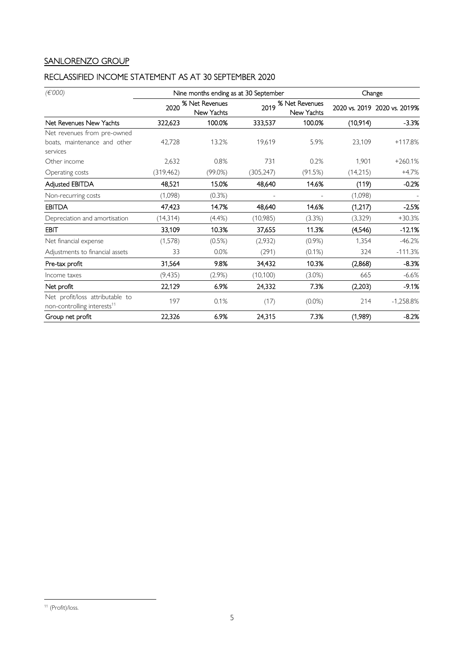# SANLORENZO GROUP

# RECLASSIFIED INCOME STATEMENT AS AT 30 SEPTEMBER 2020

| (E'000)                                                                    |            | Nine months ending as at 30 September | Change     |                                          |          |                              |
|----------------------------------------------------------------------------|------------|---------------------------------------|------------|------------------------------------------|----------|------------------------------|
|                                                                            | 2020       | % Net Revenues<br>New Yachts          |            | 2019 % Net Revenues<br><b>New Yachts</b> |          | 2020 vs. 2019 2020 vs. 2019% |
| Net Revenues New Yachts                                                    | 322,623    | 100.0%                                | 333,537    | 100.0%                                   | (10,914) | $-3.3%$                      |
| Net revenues from pre-owned                                                |            |                                       |            |                                          |          |                              |
| boats, maintenance and other<br>services                                   | 42.728     | 13.2%                                 | 19,619     | 5.9%                                     | 23,109   | +117.8%                      |
| Other income                                                               | 2,632      | 0.8%                                  | 731        | 0.2%                                     | 1,901    | $+260.1%$                    |
| Operating costs                                                            | (319, 462) | $(99.0\%)$                            | (305, 247) | (91.5%)                                  | (14,215) | $+4.7%$                      |
| <b>Adjusted EBITDA</b>                                                     | 48,521     | 15.0%                                 | 48,640     | 14.6%                                    | (119)    | $-0.2%$                      |
| Non-recurring costs                                                        | (1,098)    | (0.3%)                                |            |                                          | (1,098)  |                              |
| <b>EBITDA</b>                                                              | 47,423     | 14.7%                                 | 48,640     | 14.6%                                    | (1,217)  | $-2.5%$                      |
| Depreciation and amortisation                                              | (14, 314)  | (4.4% )                               | (10,985)   | (3.3%)                                   | (3,329)  | $+30.3%$                     |
| <b>EBIT</b>                                                                | 33,109     | 10.3%                                 | 37,655     | 11.3%                                    | (4,546)  | $-12.1%$                     |
| Net financial expense                                                      | (1,578)    | (0.5%)                                | (2,932)    | $(0.9\%)$                                | 1,354    | $-46.2%$                     |
| Adjustments to financial assets                                            | 33         | 0.0%                                  | (291)      | $(0.1\%)$                                | 324      | $-111.3%$                    |
| Pre-tax profit                                                             | 31,564     | 9.8%                                  | 34,432     | 10.3%                                    | (2,868)  | $-8.3%$                      |
| Income taxes                                                               | (9, 435)   | (2.9%)                                | (10, 100)  | (3.0%)                                   | 665      | $-6.6%$                      |
| Net profit                                                                 | 22,129     | 6.9%                                  | 24,332     | 7.3%                                     | (2,203)  | $-9.1%$                      |
| Net profit/loss attributable to<br>non-controlling interests <sup>11</sup> | 197        | 0.1%                                  | (17)       | $(0.0\%)$                                | 214      | $-1,258.8%$                  |
| Group net profit                                                           | 22,326     | 6.9%                                  | 24,315     | 7.3%                                     | (1,989)  | $-8.2%$                      |

<sup>11</sup> (Profit)/loss.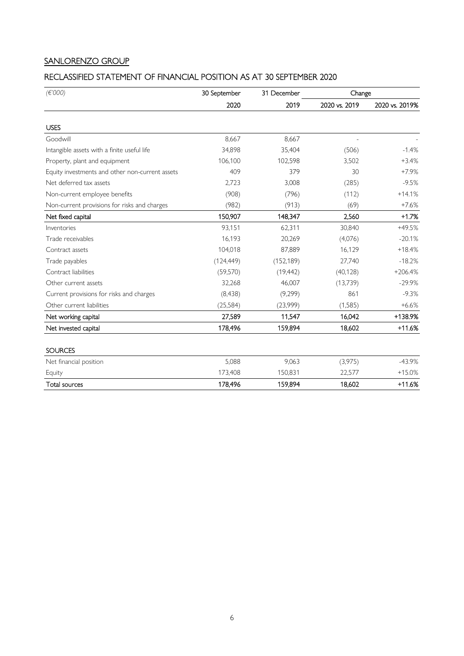## SANLORENZO GROUP

## RECLASSIFIED STATEMENT OF FINANCIAL POSITION AS AT 30 SEPTEMBER 2020

| (E'000)                                         | 30 September | 31 December | Change        |                |
|-------------------------------------------------|--------------|-------------|---------------|----------------|
|                                                 | 2020         | 2019        | 2020 vs. 2019 | 2020 vs. 2019% |
| <b>USES</b>                                     |              |             |               |                |
| Goodwill                                        | 8,667        | 8,667       |               |                |
| Intangible assets with a finite useful life     | 34,898       | 35,404      | (506)         | $-1.4%$        |
| Property, plant and equipment                   | 106,100      | 102,598     | 3,502         | $+3.4%$        |
| Equity investments and other non-current assets | 409          | 379         | 30            | $+7.9%$        |
| Net deferred tax assets                         | 2,723        | 3,008       | (285)         | $-9.5%$        |
| Non-current employee benefits                   | (908)        | (796)       | (112)         | $+14.1%$       |
| Non-current provisions for risks and charges    | (982)        | (913)       | (69)          | $+7.6%$        |
| Net fixed capital                               | 150,907      | 148,347     | 2,560         | $+1.7%$        |
| Inventories                                     | 93,151       | 62,311      | 30,840        | +49.5%         |
| Trade receivables                               | 16,193       | 20,269      | (4,076)       | $-20.1%$       |
| Contract assets                                 | 104,018      | 87,889      | 16,129        | $+18.4%$       |
| Trade payables                                  | (124, 449)   | (152, 189)  | 27,740        | $-18.2%$       |
| Contract liabilities                            | (59, 570)    | (19, 442)   | (40, 128)     | $+206.4%$      |
| Other current assets                            | 32,268       | 46,007      | (13,739)      | $-29.9%$       |
| Current provisions for risks and charges        | (8, 438)     | (9, 299)    | 861           | $-9.3%$        |
| Other current liabilities                       | (25, 584)    | (23,999)    | (1, 585)      | $+6.6%$        |
| Net working capital                             | 27,589       | 11,547      | 16,042        | +138.9%        |
| Net invested capital                            | 178,496      | 159,894     | 18,602        | $+11.6%$       |
| <b>SOURCES</b>                                  |              |             |               |                |
| Net financial position                          | 5,088        | 9,063       | (3,975)       | $-43.9%$       |
| Equity                                          | 173,408      | 150,831     | 22,577        | $+15.0%$       |
| <b>Total sources</b>                            | 178,496      | 159,894     | 18,602        | $+11.6%$       |